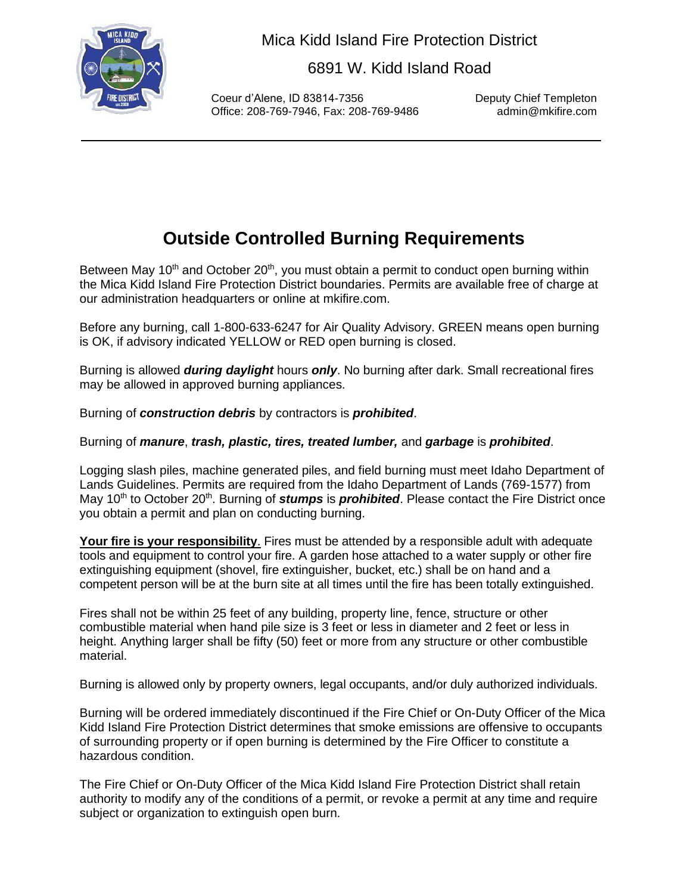

Mica Kidd Island Fire Protection District

6891 W. Kidd Island Road

Coeur d'Alene, ID 83814-7356 Deputy Chief Templeton Office: 208-769-7946, Fax: 208-769-9486

## **Outside Controlled Burning Requirements**

Between May 10<sup>th</sup> and October 20<sup>th</sup>, you must obtain a permit to conduct open burning within the Mica Kidd Island Fire Protection District boundaries. Permits are available free of charge at our administration headquarters or online at mkifire.com.

Before any burning, call 1-800-633-6247 for Air Quality Advisory. GREEN means open burning is OK, if advisory indicated YELLOW or RED open burning is closed.

Burning is allowed *during daylight* hours *only*. No burning after dark. Small recreational fires may be allowed in approved burning appliances.

Burning of *construction debris* by contractors is *prohibited*.

Burning of *manure*, *trash, plastic, tires, treated lumber,* and *garbage* is *prohibited*.

Logging slash piles, machine generated piles, and field burning must meet Idaho Department of Lands Guidelines. Permits are required from the Idaho Department of Lands (769-1577) from May 10<sup>th</sup> to October 20<sup>th</sup>. Burning of *stumps* is *prohibited*. Please contact the Fire District once you obtain a permit and plan on conducting burning.

**Your fire is your responsibility**. Fires must be attended by a responsible adult with adequate tools and equipment to control your fire. A garden hose attached to a water supply or other fire extinguishing equipment (shovel, fire extinguisher, bucket, etc.) shall be on hand and a competent person will be at the burn site at all times until the fire has been totally extinguished.

Fires shall not be within 25 feet of any building, property line, fence, structure or other combustible material when hand pile size is 3 feet or less in diameter and 2 feet or less in height. Anything larger shall be fifty (50) feet or more from any structure or other combustible material.

Burning is allowed only by property owners, legal occupants, and/or duly authorized individuals.

Burning will be ordered immediately discontinued if the Fire Chief or On-Duty Officer of the Mica Kidd Island Fire Protection District determines that smoke emissions are offensive to occupants of surrounding property or if open burning is determined by the Fire Officer to constitute a hazardous condition.

The Fire Chief or On-Duty Officer of the Mica Kidd Island Fire Protection District shall retain authority to modify any of the conditions of a permit, or revoke a permit at any time and require subject or organization to extinguish open burn.